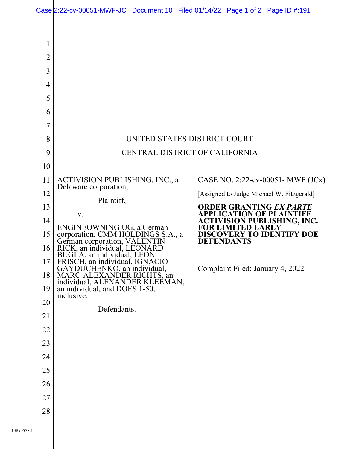| Case 2:22-cv-00051-MWF-JC Document 10 Filed 01/14/22 Page 1 of 2 Page ID #:191 |  |  |
|--------------------------------------------------------------------------------|--|--|
|                                                                                |  |  |

| 1              |                                                                                            |                                                                                                                                     |  |  |  |  |  |
|----------------|--------------------------------------------------------------------------------------------|-------------------------------------------------------------------------------------------------------------------------------------|--|--|--|--|--|
| $\overline{2}$ |                                                                                            |                                                                                                                                     |  |  |  |  |  |
| 3              |                                                                                            |                                                                                                                                     |  |  |  |  |  |
| $\overline{4}$ |                                                                                            |                                                                                                                                     |  |  |  |  |  |
| 5              |                                                                                            |                                                                                                                                     |  |  |  |  |  |
| 6              |                                                                                            |                                                                                                                                     |  |  |  |  |  |
| 7              |                                                                                            |                                                                                                                                     |  |  |  |  |  |
| 8              | UNITED STATES DISTRICT COURT                                                               |                                                                                                                                     |  |  |  |  |  |
| 9              | CENTRAL DISTRICT OF CALIFORNIA                                                             |                                                                                                                                     |  |  |  |  |  |
| 10             |                                                                                            |                                                                                                                                     |  |  |  |  |  |
| 11             | ACTIVISION PUBLISHING, INC., a<br>Delaware corporation,                                    | CASE NO. 2:22-cv-00051- MWF $JC(x)$                                                                                                 |  |  |  |  |  |
| 12             | Plaintiff,                                                                                 | [Assigned to Judge Michael W. Fitzgerald]                                                                                           |  |  |  |  |  |
| 13             | V.                                                                                         | <b>ORDER GRANTING EX PARTE</b><br><b>APPLICATION OF PLAINTIFF</b><br><b>ACTIVISION PUBLISHING, INC.</b><br><b>FOR LIMITED EARLY</b> |  |  |  |  |  |
| 14             | ENGINEOWNING UG, a German                                                                  |                                                                                                                                     |  |  |  |  |  |
| 15             | corporation, CMM HOLDINGS S.A., a                                                          | <b>DISCOVERY TO IDENTIFY DOE</b><br><b>DEFENDANTS</b>                                                                               |  |  |  |  |  |
| 16             | German corporation, VALENTIN<br>RICK, an individual, LEONARD<br>BUGLA, an individual, LEON |                                                                                                                                     |  |  |  |  |  |
| 17             | FRISCH, an individual, IGNACIO<br>GAYDUCHENKO, an individual,                              | Complaint Filed: January 4, 2022                                                                                                    |  |  |  |  |  |
| 18             | MARC-ALEXANDER RICHTS, an individual, ALEXANDER KLEEMAN,                                   |                                                                                                                                     |  |  |  |  |  |
| 19             | an individual, and DOES 1-50,<br>inclusive,                                                |                                                                                                                                     |  |  |  |  |  |
| 20             | Defendants.                                                                                |                                                                                                                                     |  |  |  |  |  |
| 21             |                                                                                            |                                                                                                                                     |  |  |  |  |  |
| 22             |                                                                                            |                                                                                                                                     |  |  |  |  |  |
| 23             |                                                                                            |                                                                                                                                     |  |  |  |  |  |
| 24             |                                                                                            |                                                                                                                                     |  |  |  |  |  |
| 25             |                                                                                            |                                                                                                                                     |  |  |  |  |  |
| 26             |                                                                                            |                                                                                                                                     |  |  |  |  |  |
| 27             |                                                                                            |                                                                                                                                     |  |  |  |  |  |
| 28             |                                                                                            |                                                                                                                                     |  |  |  |  |  |
|                |                                                                                            |                                                                                                                                     |  |  |  |  |  |